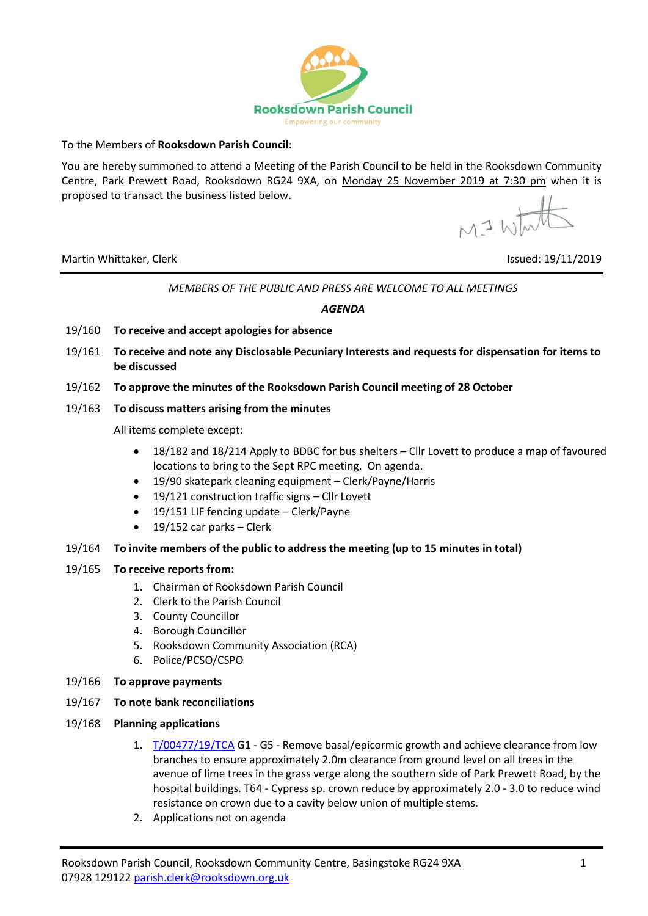

To the Members of **Rooksdown Parish Council**:

You are hereby summoned to attend a Meeting of the Parish Council to be held in the Rooksdown Community Centre, Park Prewett Road, Rooksdown RG24 9XA, on Monday 25 November 2019 at 7:30 pm when it is proposed to transact the business listed below.

M I White

Martin Whittaker, Clerk Issued: 19/11/2019

# *MEMBERS OF THE PUBLIC AND PRESS ARE WELCOME TO ALL MEETINGS*

### *AGENDA*

- 19/160 **To receive and accept apologies for absence**
- 19/161 **To receive and note any Disclosable Pecuniary Interests and requests for dispensation for items to be discussed**
- 19/162 **To approve the minutes of the Rooksdown Parish Council meeting of 28 October**

## 19/163 **To discuss matters arising from the minutes**

All items complete except:

- 18/182 and 18/214 Apply to BDBC for bus shelters Cllr Lovett to produce a map of favoured locations to bring to the Sept RPC meeting. On agenda.
- 19/90 skatepark cleaning equipment Clerk/Payne/Harris
- 19/121 construction traffic signs Cllr Lovett
- 19/151 LIF fencing update Clerk/Payne
- $\bullet$  19/152 car parks Clerk

## 19/164 **To invite members of the public to address the meeting (up to 15 minutes in total)**

### 19/165 **To receive reports from:**

- 1. Chairman of Rooksdown Parish Council
- 2. Clerk to the Parish Council
- 3. County Councillor
- 4. Borough Councillor
- 5. Rooksdown Community Association (RCA)
- 6. Police/PCSO/CSPO
- 19/166 **To approve payments**
- 19/167 **To note bank reconciliations**
- 19/168 **Planning applications**
	- 1. [T/00477/19/TCA](https://planning.basingstoke.gov.uk/online-applications/applicationDetails.do?activeTab=summary&keyVal=Q06P2JCRMT400) G1 G5 Remove basal/epicormic growth and achieve clearance from low branches to ensure approximately 2.0m clearance from ground level on all trees in the avenue of lime trees in the grass verge along the southern side of Park Prewett Road, by the hospital buildings. T64 - Cypress sp. crown reduce by approximately 2.0 - 3.0 to reduce wind resistance on crown due to a cavity below union of multiple stems.
	- 2. Applications not on agenda